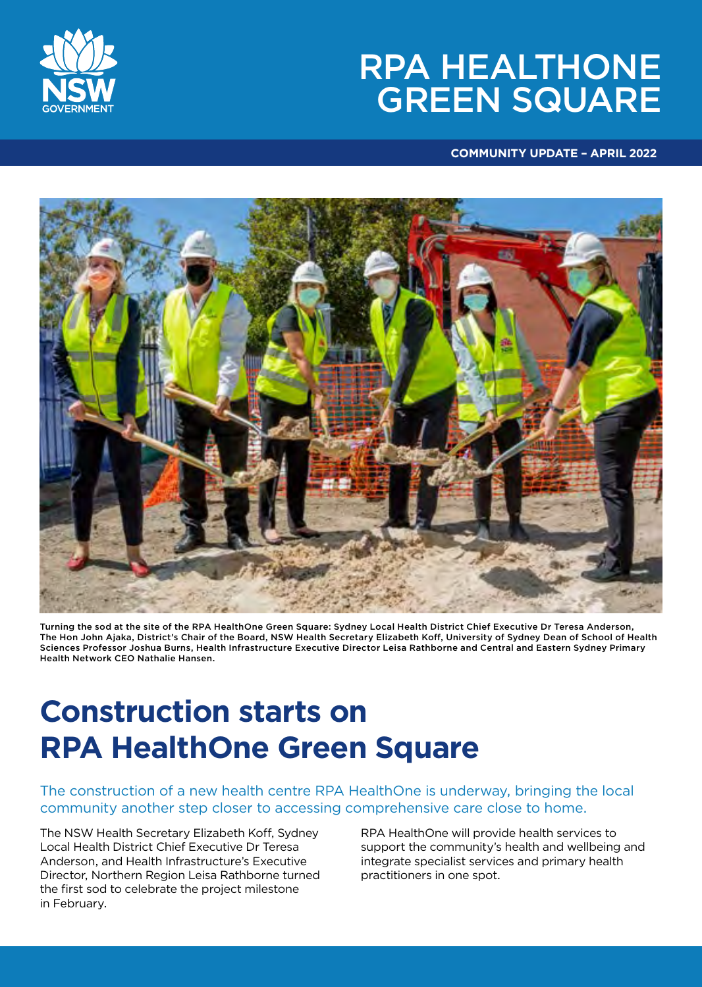# RPA HEALTHONE GREEN SQUARE



#### **COMMUNITY UPDATE – APRIL 2022**



Turning the sod at the site of the RPA HealthOne Green Square: Sydney Local Health District Chief Executive Dr Teresa Anderson, The Hon John Ajaka, District's Chair of the Board, NSW Health Secretary Elizabeth Koff, University of Sydney Dean of School of Health Sciences Professor Joshua Burns, Health Infrastructure Executive Director Leisa Rathborne and Central and Eastern Sydney Primary Health Network CEO Nathalie Hansen.

## **Construction starts on RPA HealthOne Green Square**

The construction of a new health centre RPA HealthOne is underway, bringing the local community another step closer to accessing comprehensive care close to home.

The NSW Health Secretary Elizabeth Koff, Sydney Local Health District Chief Executive Dr Teresa Anderson, and Health Infrastructure's Executive Director, Northern Region Leisa Rathborne turned the first sod to celebrate the project milestone in February.

RPA HealthOne will provide health services to support the community's health and wellbeing and integrate specialist services and primary health practitioners in one spot.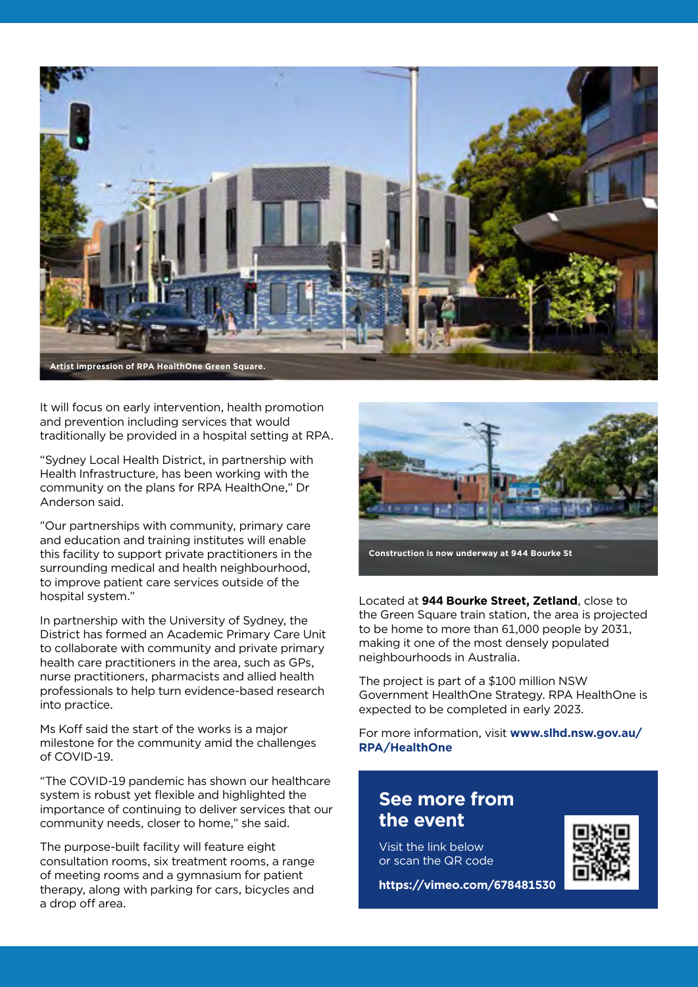

It will focus on early intervention, health promotion and prevention including services that would traditionally be provided in a hospital setting at RPA.

"Sydney Local Health District, in partnership with Health Infrastructure, has been working with the community on the plans for RPA HealthOne," Dr Anderson said.

"Our partnerships with community, primary care and education and training institutes will enable this facility to support private practitioners in the surrounding medical and health neighbourhood, to improve patient care services outside of the hospital system."

In partnership with the University of Sydney, the District has formed an Academic Primary Care Unit to collaborate with community and private primary health care practitioners in the area, such as GPs, nurse practitioners, pharmacists and allied health professionals to help turn evidence-based research into practice.

Ms Koff said the start of the works is a major milestone for the community amid the challenges of COVID-19.

"The COVID-19 pandemic has shown our healthcare system is robust yet flexible and highlighted the importance of continuing to deliver services that our community needs, closer to home," she said.

The purpose-built facility will feature eight consultation rooms, six treatment rooms, a range of meeting rooms and a gymnasium for patient therapy, along with parking for cars, bicycles and a drop off area.



**Construction is now underway at 944 Bourke St**

Located at **944 Bourke Street, Zetland**, close to the Green Square train station, the area is projected to be home to more than 61,000 people by 2031, making it one of the most densely populated neighbourhoods in Australia.

The project is part of a \$100 million NSW Government HealthOne Strategy. RPA HealthOne is expected to be completed in early 2023.

For more information, visit **www.slhd.nsw.gov.au/ RPA/HealthOne** 

#### **See more from the event**

Visit the link below or scan the QR code



**https://vimeo.com/678481530**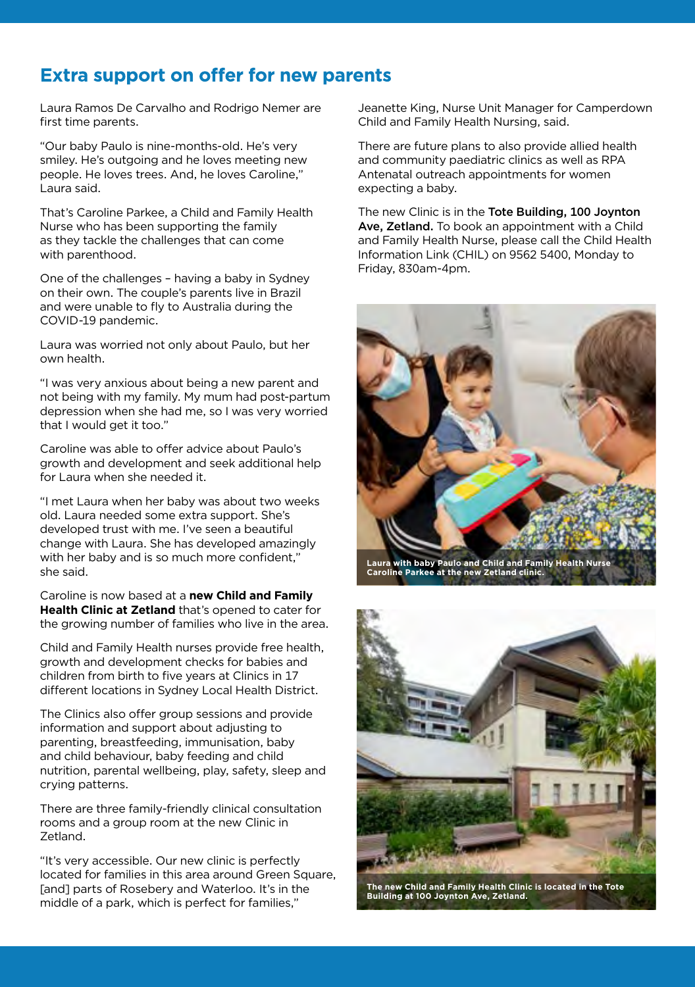### **Extra support on offer for new parents**

Laura Ramos De Carvalho and Rodrigo Nemer are first time parents.

"Our baby Paulo is nine-months-old. He's very smiley. He's outgoing and he loves meeting new people. He loves trees. And, he loves Caroline," Laura said.

That's Caroline Parkee, a Child and Family Health Nurse who has been supporting the family as they tackle the challenges that can come with parenthood.

One of the challenges – having a baby in Sydney on their own. The couple's parents live in Brazil and were unable to fly to Australia during the COVID‑19 pandemic.

Laura was worried not only about Paulo, but her own health.

"I was very anxious about being a new parent and not being with my family. My mum had post-partum depression when she had me, so I was very worried that I would get it too."

Caroline was able to offer advice about Paulo's growth and development and seek additional help for Laura when she needed it.

"I met Laura when her baby was about two weeks old. Laura needed some extra support. She's developed trust with me. I've seen a beautiful change with Laura. She has developed amazingly with her baby and is so much more confident," she said.

Caroline is now based at a **new Child and Family Health Clinic at Zetland** that's opened to cater for the growing number of families who live in the area.

Child and Family Health nurses provide free health, growth and development checks for babies and children from birth to five years at Clinics in 17 different locations in Sydney Local Health District.

The Clinics also offer group sessions and provide information and support about adjusting to parenting, breastfeeding, immunisation, baby and child behaviour, baby feeding and child nutrition, parental wellbeing, play, safety, sleep and crying patterns.

There are three family-friendly clinical consultation rooms and a group room at the new Clinic in Zetland.

"It's very accessible. Our new clinic is perfectly located for families in this area around Green Square, [and] parts of Rosebery and Waterloo. It's in the middle of a park, which is perfect for families,"

Jeanette King, Nurse Unit Manager for Camperdown Child and Family Health Nursing, said.

There are future plans to also provide allied health and community paediatric clinics as well as RPA Antenatal outreach appointments for women expecting a baby.

The new Clinic is in the Tote Building, 100 Joynton Ave, Zetland. To book an appointment with a Child and Family Health Nurse, please call the Child Health Information Link (CHIL) on 9562 5400, Monday to Friday, 830am-4pm.



**Laura with baby Paulo and Child and Family Health Nurse Caroline Parkee at the new Zetland clinic.**



**The new Child and Family Health Clinic is located in the Tote Building at 100 Joynton Ave, Zetland.**